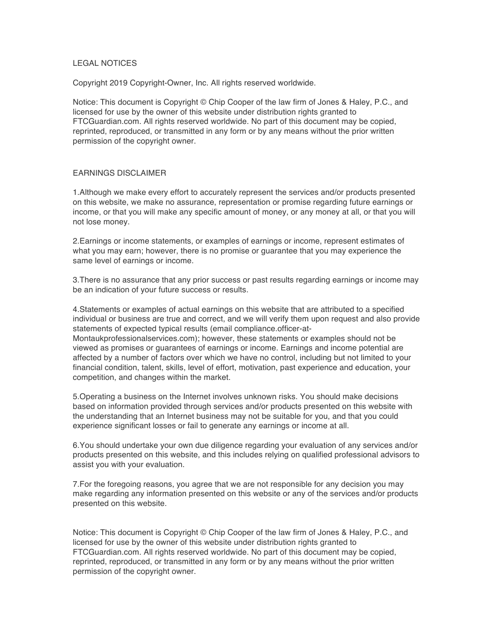## LEGAL NOTICES

Copyright 2019 Copyright-Owner, Inc. All rights reserved worldwide.

Notice: This document is Copyright © Chip Cooper of the law firm of Jones & Haley, P.C., and licensed for use by the owner of this website under distribution rights granted to FTCGuardian.com. All rights reserved worldwide. No part of this document may be copied, reprinted, reproduced, or transmitted in any form or by any means without the prior written permission of the copyright owner.

## EARNINGS DISCLAIMER

1.Although we make every effort to accurately represent the services and/or products presented on this website, we make no assurance, representation or promise regarding future earnings or income, or that you will make any specific amount of money, or any money at all, or that you will not lose money.

2.Earnings or income statements, or examples of earnings or income, represent estimates of what you may earn; however, there is no promise or guarantee that you may experience the same level of earnings or income.

3.There is no assurance that any prior success or past results regarding earnings or income may be an indication of your future success or results.

4.Statements or examples of actual earnings on this website that are attributed to a specified individual or business are true and correct, and we will verify them upon request and also provide statements of expected typical results (email compliance.officer-at-

Montaukprofessionalservices.com); however, these statements or examples should not be viewed as promises or guarantees of earnings or income. Earnings and income potential are affected by a number of factors over which we have no control, including but not limited to your financial condition, talent, skills, level of effort, motivation, past experience and education, your competition, and changes within the market.

5.Operating a business on the Internet involves unknown risks. You should make decisions based on information provided through services and/or products presented on this website with the understanding that an Internet business may not be suitable for you, and that you could experience significant losses or fail to generate any earnings or income at all.

6.You should undertake your own due diligence regarding your evaluation of any services and/or products presented on this website, and this includes relying on qualified professional advisors to assist you with your evaluation.

7.For the foregoing reasons, you agree that we are not responsible for any decision you may make regarding any information presented on this website or any of the services and/or products presented on this website.

Notice: This document is Copyright © Chip Cooper of the law firm of Jones & Haley, P.C., and licensed for use by the owner of this website under distribution rights granted to FTCGuardian.com. All rights reserved worldwide. No part of this document may be copied, reprinted, reproduced, or transmitted in any form or by any means without the prior written permission of the copyright owner.